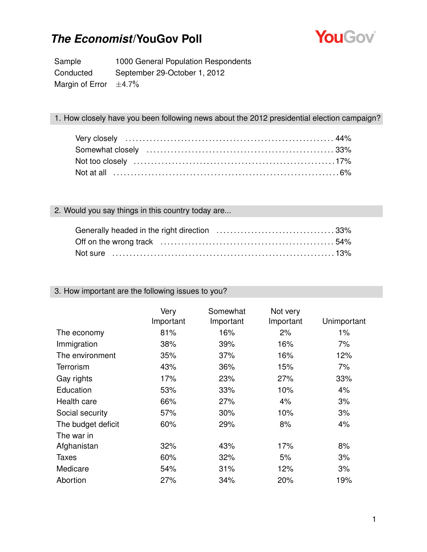

Sample 1000 General Population Respondents Conducted September 29-October 1, 2012 Margin of Error  $\pm 4.7\%$ 

### 1. How closely have you been following news about the 2012 presidential election campaign?

### 2. Would you say things in this country today are...

| Not sure ……………………………………………………………………13% |  |
|----------------------------------------|--|

#### 3. How important are the following issues to you?

|                    | Very<br>Important | Somewhat<br>Important | Not very<br>Important | Unimportant |
|--------------------|-------------------|-----------------------|-----------------------|-------------|
| The economy        | 81%               | 16%                   | 2%                    | $1\%$       |
| Immigration        | 38%               | 39%                   | 16%                   | 7%          |
| The environment    | 35%               | 37%                   | 16%                   | 12%         |
| <b>Terrorism</b>   | 43%               | 36%                   | 15%                   | 7%          |
| Gay rights         | 17%               | 23%                   | 27%                   | 33%         |
| Education          | 53%               | 33%                   | 10%                   | 4%          |
| Health care        | 66%               | 27%                   | 4%                    | 3%          |
| Social security    | 57%               | 30%                   | 10%                   | 3%          |
| The budget deficit | 60%               | 29%                   | 8%                    | 4%          |
| The war in         |                   |                       |                       |             |
| Afghanistan        | 32%               | 43%                   | 17%                   | 8%          |
| Taxes              | 60%               | 32%                   | 5%                    | 3%          |
| Medicare           | 54%               | 31%                   | 12%                   | 3%          |
| Abortion           | 27%               | 34%                   | 20%                   | 19%         |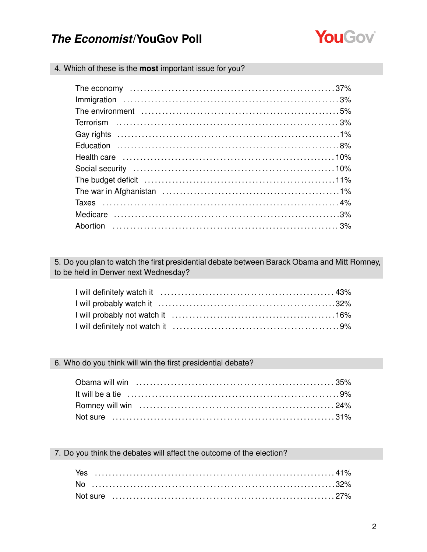

4. Which of these is the most important issue for you?

| The budget deficit (and according control of the budget deficit (and according control of the budget deficit |  |
|--------------------------------------------------------------------------------------------------------------|--|
|                                                                                                              |  |
|                                                                                                              |  |
|                                                                                                              |  |
|                                                                                                              |  |
|                                                                                                              |  |

5. Do you plan to watch the first presidential debate between Barack Obama and Mitt Romney, to be held in Denver next Wednesday?

### 6. Who do you think will win the first presidential debate?

7. Do you think the debates will affect the outcome of the election?

| Yes |  |  |  |  |  |  |  |  |  |  |  |  |  |  |  |  |  |  |  |  |  |  |  |  |  |  |  |
|-----|--|--|--|--|--|--|--|--|--|--|--|--|--|--|--|--|--|--|--|--|--|--|--|--|--|--|--|
|     |  |  |  |  |  |  |  |  |  |  |  |  |  |  |  |  |  |  |  |  |  |  |  |  |  |  |  |
|     |  |  |  |  |  |  |  |  |  |  |  |  |  |  |  |  |  |  |  |  |  |  |  |  |  |  |  |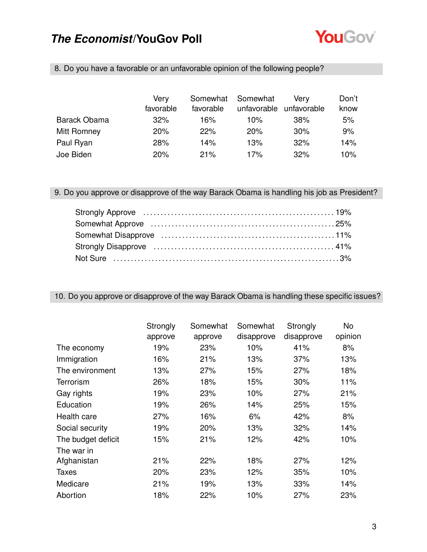

| 8. Do you have a favorable or an unfavorable opinion of the following people? |  |
|-------------------------------------------------------------------------------|--|
|                                                                               |  |
|                                                                               |  |

|                     | Verv      | Somewhat  | Somewhat    | Verv        | Don't |
|---------------------|-----------|-----------|-------------|-------------|-------|
|                     | favorable | favorable | unfavorable | unfavorable | know  |
| <b>Barack Obama</b> | 32%       | 16%       | 10%         | 38%         | 5%    |
| Mitt Romney         | 20%       | 22%       | 20%         | 30%         | 9%    |
| Paul Ryan           | 28%       | 14%       | 13%         | 32%         | 14%   |
| Joe Biden           | 20%       | 21%       | 17%         | 32%         | 10%   |

9. Do you approve or disapprove of the way Barack Obama is handling his job as President?

### 10. Do you approve or disapprove of the way Barack Obama is handling these specific issues?

|                    | Strongly<br>approve | Somewhat<br>approve | Somewhat<br>disapprove | Strongly<br>disapprove | No<br>opinion |
|--------------------|---------------------|---------------------|------------------------|------------------------|---------------|
| The economy        | 19%                 | 23%                 | 10%                    | 41%                    | 8%            |
| Immigration        | 16%                 | 21%                 | 13%                    | 37%                    | 13%           |
| The environment    | 13%                 | 27%                 | 15%                    | 27%                    | 18%           |
| Terrorism          | 26%                 | 18%                 | 15%                    | 30%                    | 11%           |
| Gay rights         | 19%                 | 23%                 | 10%                    | 27%                    | 21%           |
| Education          | 19%                 | 26%                 | 14%                    | 25%                    | 15%           |
| Health care        | 27%                 | 16%                 | 6%                     | 42%                    | 8%            |
| Social security    | 19%                 | 20%                 | 13%                    | 32%                    | 14%           |
| The budget deficit | 15%                 | 21%                 | 12%                    | 42%                    | 10%           |
| The war in         |                     |                     |                        |                        |               |
| Afghanistan        | 21%                 | 22%                 | 18%                    | 27%                    | 12%           |
| <b>Taxes</b>       | 20%                 | 23%                 | 12%                    | 35%                    | 10%           |
| Medicare           | 21%                 | 19%                 | 13%                    | 33%                    | 14%           |
| Abortion           | 18%                 | 22%                 | 10%                    | 27%                    | 23%           |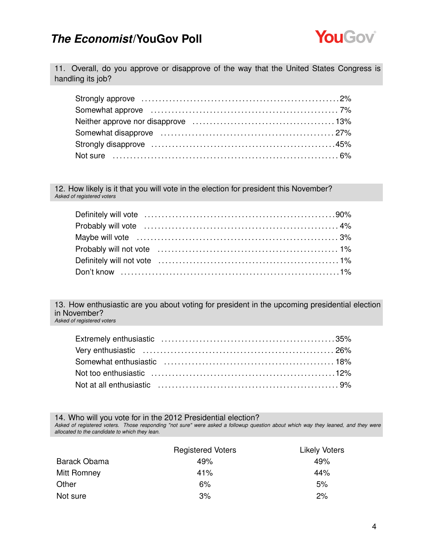

11. Overall, do you approve or disapprove of the way that the United States Congress is handling its job?

12. How likely is it that you will vote in the election for president this November? *Asked of registered voters*

13. How enthusiastic are you about voting for president in the upcoming presidential election in November? *Asked of registered voters*

14. Who will you vote for in the 2012 Presidential election?

*Asked of registered voters. Those responding "not sure" were asked a followup question about which way they leaned, and they were allocated to the candidate to which they lean.*

|                     | <b>Registered Voters</b> | <b>Likely Voters</b> |
|---------------------|--------------------------|----------------------|
| <b>Barack Obama</b> | 49%                      | 49%                  |
| Mitt Romney         | 41%                      | 44%                  |
| Other               | 6%                       | 5%                   |
| Not sure            | 3%                       | 2%                   |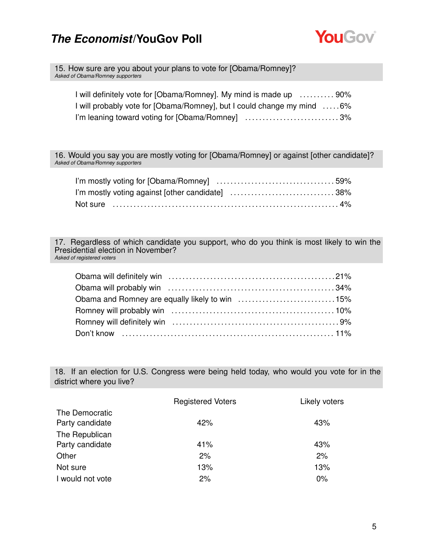

15. How sure are you about your plans to vote for [Obama/Romney]? *Asked of Obama/Romney supporters*

| I will definitely vote for [Obama/Romney]. My mind is made up  90%     |  |
|------------------------------------------------------------------------|--|
| I will probably vote for [Obama/Romney], but I could change my mind 6% |  |
| I'm leaning toward voting for [Obama/Romney] 3%                        |  |

16. Would you say you are mostly voting for [Obama/Romney] or against [other candidate]? *Asked of Obama/Romney supporters*

| I'm mostly voting against [other candidate] 38% |  |
|-------------------------------------------------|--|
|                                                 |  |

17. Regardless of which candidate you support, who do you think is most likely to win the Presidential election in November? *Asked of registered voters*

| Obama and Romney are equally likely to win 15% |  |
|------------------------------------------------|--|
|                                                |  |
|                                                |  |
|                                                |  |

18. If an election for U.S. Congress were being held today, who would you vote for in the district where you live?

|                                                     | <b>Registered Voters</b> | Likely voters |
|-----------------------------------------------------|--------------------------|---------------|
| The Democratic<br>Party candidate<br>The Republican | 42%                      | 43%           |
| Party candidate                                     | 41%                      | 43%           |
| Other                                               | 2%                       | 2%            |
| Not sure                                            | 13%                      | 13%           |
| I would not vote                                    | 2%                       | 0%            |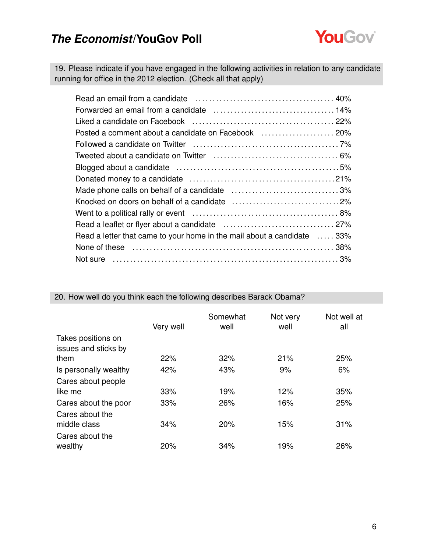

19. Please indicate if you have engaged in the following activities in relation to any candidate running for office in the 2012 election. (Check all that apply)

| Read a letter that came to your home in the mail about a candidate  33%                |  |
|----------------------------------------------------------------------------------------|--|
| None of these matures are not all the set of these matures are not contained as $38\%$ |  |
|                                                                                        |  |

|                                            | Very well | Somewhat<br>well | Not very<br>well | Not well at<br>all |
|--------------------------------------------|-----------|------------------|------------------|--------------------|
| Takes positions on<br>issues and sticks by |           |                  |                  |                    |
| them                                       | 22%       | 32%              | 21%              | 25%                |
| Is personally wealthy                      | 42%       | 43%              | 9%               | 6%                 |
| Cares about people                         |           |                  |                  |                    |
| like me                                    | 33%       | 19%              | 12%              | 35%                |
| Cares about the poor                       | 33%       | 26%              | 16%              | 25%                |
| Cares about the                            |           |                  |                  |                    |
| middle class                               | 34%       | 20%              | 15%              | 31%                |
| Cares about the                            |           |                  |                  |                    |
| wealthy                                    | 20%       | 34%              | 19%              | 26%                |

20. How well do you think each the following describes Barack Obama?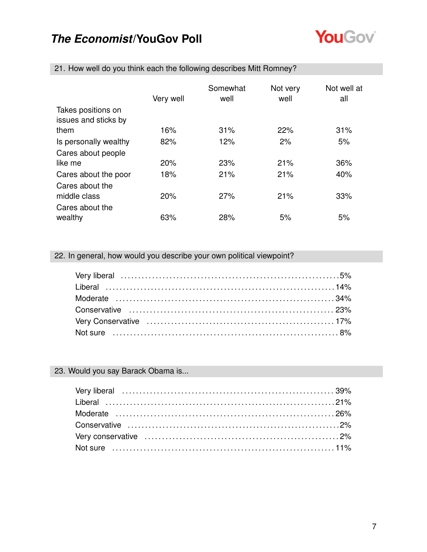

|                                            | Very well | Somewhat<br>well | Not very<br>well | Not well at<br>all |
|--------------------------------------------|-----------|------------------|------------------|--------------------|
| Takes positions on<br>issues and sticks by |           |                  |                  |                    |
| them                                       | 16%       | 31%              | 22%              | 31%                |
| Is personally wealthy                      | 82%       | 12%              | 2%               | 5%                 |
| Cares about people                         |           |                  |                  |                    |
| like me                                    | 20%       | 23%              | 21%              | 36%                |
| Cares about the poor                       | 18%       | 21%              | 21%              | 40%                |
| Cares about the                            |           |                  |                  |                    |
| middle class                               | 20%       | 27%              | 21%              | 33%                |
| Cares about the<br>wealthy                 | 63%       | 28%              | 5%               | 5%                 |

21. How well do you think each the following describes Mitt Romney?

### 22. In general, how would you describe your own political viewpoint?

### 23. Would you say Barack Obama is...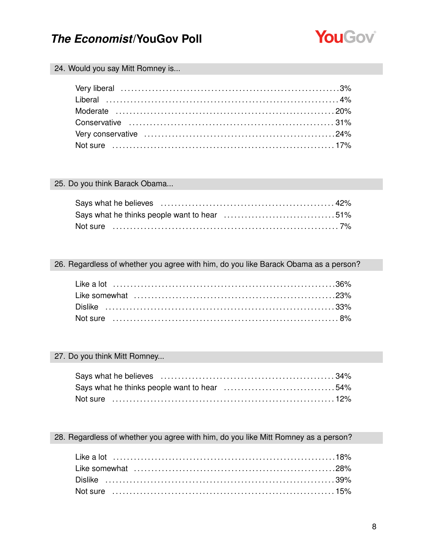

### 24. Would you say Mitt Romney is...

### 25. Do you think Barack Obama...

### 26. Regardless of whether you agree with him, do you like Barack Obama as a person?

#### 27. Do you think Mitt Romney...

| Says what he thinks people want to hear 54% |  |
|---------------------------------------------|--|
| Not sure ……………………………………………………………………12%      |  |

### 28. Regardless of whether you agree with him, do you like Mitt Romney as a person?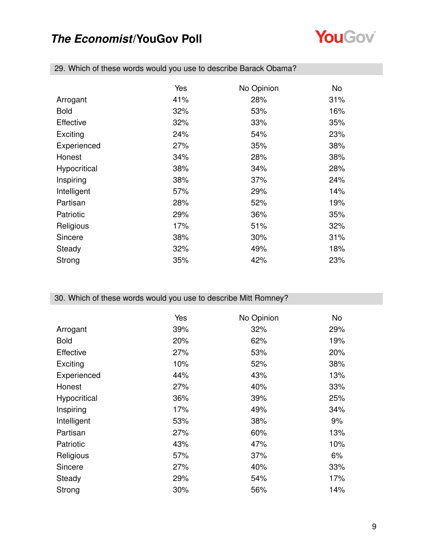

|                  | Yes | No Opinion | No  |
|------------------|-----|------------|-----|
| Arrogant         | 41% | 28%        | 31% |
|                  |     |            |     |
| <b>Bold</b>      | 32% | 53%        | 16% |
| <b>Effective</b> | 32% | 33%        | 35% |
| Exciting         | 24% | 54%        | 23% |
| Experienced      | 27% | 35%        | 38% |
| Honest           | 34% | 28%        | 38% |
| Hypocritical     | 38% | 34%        | 28% |
| Inspiring        | 38% | 37%        | 24% |
| Intelligent      | 57% | 29%        | 14% |
| Partisan         | 28% | 52%        | 19% |
| Patriotic        | 29% | 36%        | 35% |
| Religious        | 17% | 51%        | 32% |
| Sincere          | 38% | 30%        | 31% |
| Steady           | 32% | 49%        | 18% |
| Strong           | 35% | 42%        | 23% |

29. Which of these words would you use to describe Barack Obama?

### 30. Which of these words would you use to describe Mitt Romney?

|                  | Yes | No Opinion | No  |
|------------------|-----|------------|-----|
| Arrogant         | 39% | 32%        | 29% |
| <b>Bold</b>      | 20% | 62%        | 19% |
| <b>Effective</b> | 27% | 53%        | 20% |
| Exciting         | 10% | 52%        | 38% |
| Experienced      | 44% | 43%        | 13% |
| Honest           | 27% | 40%        | 33% |
| Hypocritical     | 36% | 39%        | 25% |
| Inspiring        | 17% | 49%        | 34% |
| Intelligent      | 53% | 38%        | 9%  |
| Partisan         | 27% | 60%        | 13% |
| Patriotic        | 43% | 47%        | 10% |
| Religious        | 57% | 37%        | 6%  |
| Sincere          | 27% | 40%        | 33% |
| Steady           | 29% | 54%        | 17% |
| Strong           | 30% | 56%        | 14% |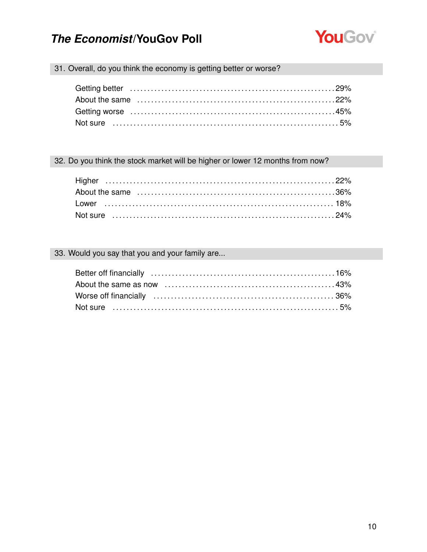

### 31. Overall, do you think the economy is getting better or worse?

### 32. Do you think the stock market will be higher or lower 12 months from now?

### 33. Would you say that you and your family are...